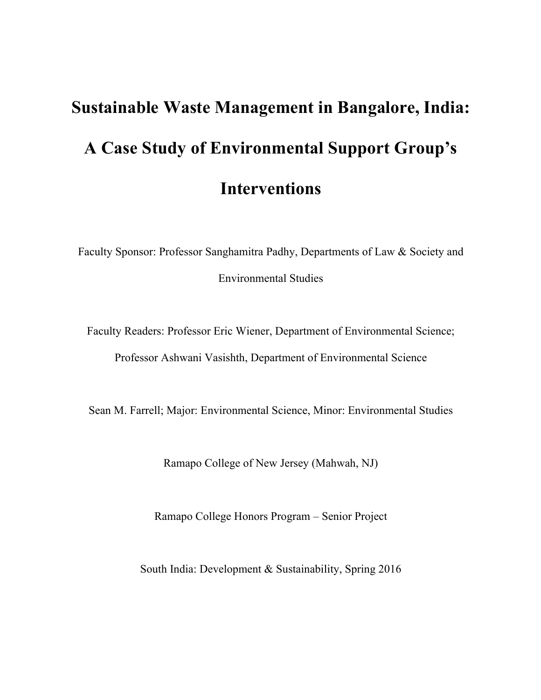# **Sustainable Waste Management in Bangalore, India: A Case Study of Environmental Support Group's Interventions**

Faculty Sponsor: Professor Sanghamitra Padhy, Departments of Law & Society and Environmental Studies

Faculty Readers: Professor Eric Wiener, Department of Environmental Science; Professor Ashwani Vasishth, Department of Environmental Science

Sean M. Farrell; Major: Environmental Science, Minor: Environmental Studies

Ramapo College of New Jersey (Mahwah, NJ)

Ramapo College Honors Program – Senior Project

South India: Development & Sustainability, Spring 2016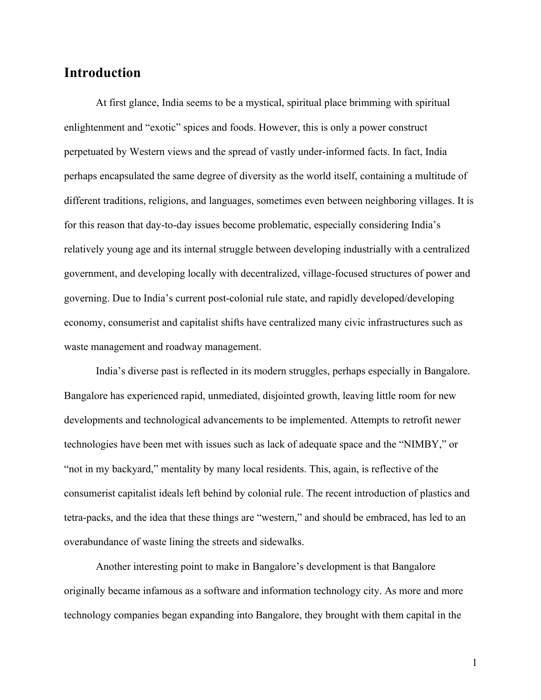## **Introduction**

At first glance, India seems to be a mystical, spiritual place brimming with spiritual enlightenment and "exotic" spices and foods. However, this is only a power construct perpetuated by Western views and the spread of vastly under-informed facts. In fact, India perhaps encapsulated the same degree of diversity as the world itself, containing a multitude of different traditions, religions, and languages, sometimes even between neighboring villages. It is for this reason that day-to-day issues become problematic, especially considering India's relatively young age and its internal struggle between developing industrially with a centralized government, and developing locally with decentralized, village-focused structures of power and governing. Due to India's current post-colonial rule state, and rapidly developed/developing economy, consumerist and capitalist shifts have centralized many civic infrastructures such as waste management and roadway management.

India's diverse past is reflected in its modern struggles, perhaps especially in Bangalore. Bangalore has experienced rapid, unmediated, disjointed growth, leaving little room for new developments and technological advancements to be implemented. Attempts to retrofit newer technologies have been met with issues such as lack of adequate space and the "NIMBY," or "not in my backyard," mentality by many local residents. This, again, is reflective of the consumerist capitalist ideals left behind by colonial rule. The recent introduction of plastics and tetra-packs, and the idea that these things are "western," and should be embraced, has led to an overabundance of waste lining the streets and sidewalks.

Another interesting point to make in Bangalore's development is that Bangalore originally became infamous as a software and information technology city. As more and more technology companies began expanding into Bangalore, they brought with them capital in the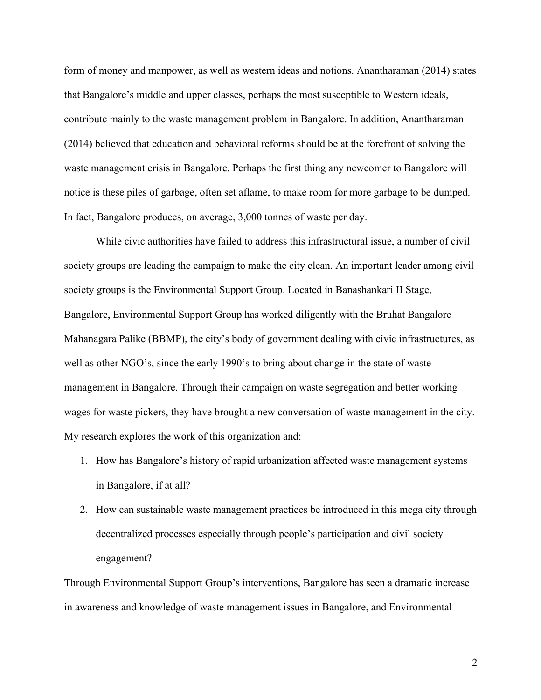form of money and manpower, as well as western ideas and notions. Anantharaman (2014) states that Bangalore's middle and upper classes, perhaps the most susceptible to Western ideals, contribute mainly to the waste management problem in Bangalore. In addition, Anantharaman (2014) believed that education and behavioral reforms should be at the forefront of solving the waste management crisis in Bangalore. Perhaps the first thing any newcomer to Bangalore will notice is these piles of garbage, often set aflame, to make room for more garbage to be dumped. In fact, Bangalore produces, on average, 3,000 tonnes of waste per day.

While civic authorities have failed to address this infrastructural issue, a number of civil society groups are leading the campaign to make the city clean. An important leader among civil society groups is the Environmental Support Group. Located in Banashankari II Stage, Bangalore, Environmental Support Group has worked diligently with the Bruhat Bangalore Mahanagara Palike (BBMP), the city's body of government dealing with civic infrastructures, as well as other NGO's, since the early 1990's to bring about change in the state of waste management in Bangalore. Through their campaign on waste segregation and better working wages for waste pickers, they have brought a new conversation of waste management in the city. My research explores the work of this organization and:

- 1. How has Bangalore's history of rapid urbanization affected waste management systems in Bangalore, if at all?
- 2. How can sustainable waste management practices be introduced in this mega city through decentralized processes especially through people's participation and civil society engagement?

Through Environmental Support Group's interventions, Bangalore has seen a dramatic increase in awareness and knowledge of waste management issues in Bangalore, and Environmental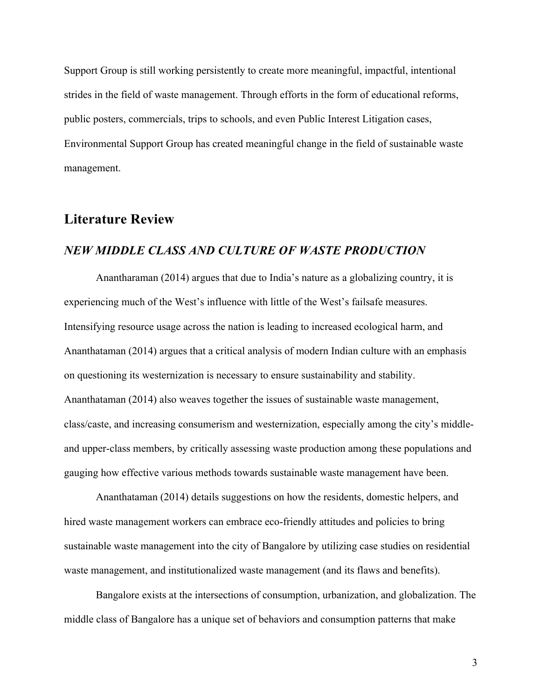Support Group is still working persistently to create more meaningful, impactful, intentional strides in the field of waste management. Through efforts in the form of educational reforms, public posters, commercials, trips to schools, and even Public Interest Litigation cases, Environmental Support Group has created meaningful change in the field of sustainable waste management.

## **Literature Review**

#### *NEW MIDDLE CLASS AND CULTURE OF WASTE PRODUCTION*

Anantharaman (2014) argues that due to India's nature as a globalizing country, it is experiencing much of the West's influence with little of the West's failsafe measures. Intensifying resource usage across the nation is leading to increased ecological harm, and Ananthataman (2014) argues that a critical analysis of modern Indian culture with an emphasis on questioning its westernization is necessary to ensure sustainability and stability. Ananthataman (2014) also weaves together the issues of sustainable waste management, class/caste, and increasing consumerism and westernization, especially among the city's middleand upper-class members, by critically assessing waste production among these populations and gauging how effective various methods towards sustainable waste management have been.

Ananthataman (2014) details suggestions on how the residents, domestic helpers, and hired waste management workers can embrace eco-friendly attitudes and policies to bring sustainable waste management into the city of Bangalore by utilizing case studies on residential waste management, and institutionalized waste management (and its flaws and benefits).

Bangalore exists at the intersections of consumption, urbanization, and globalization. The middle class of Bangalore has a unique set of behaviors and consumption patterns that make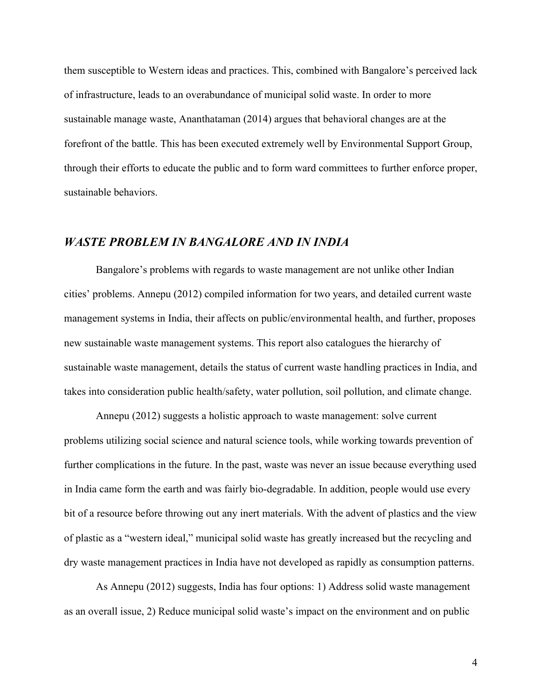them susceptible to Western ideas and practices. This, combined with Bangalore's perceived lack of infrastructure, leads to an overabundance of municipal solid waste. In order to more sustainable manage waste, Ananthataman (2014) argues that behavioral changes are at the forefront of the battle. This has been executed extremely well by Environmental Support Group, through their efforts to educate the public and to form ward committees to further enforce proper, sustainable behaviors.

#### *WASTE PROBLEM IN BANGALORE AND IN INDIA*

Bangalore's problems with regards to waste management are not unlike other Indian cities' problems. Annepu (2012) compiled information for two years, and detailed current waste management systems in India, their affects on public/environmental health, and further, proposes new sustainable waste management systems. This report also catalogues the hierarchy of sustainable waste management, details the status of current waste handling practices in India, and takes into consideration public health/safety, water pollution, soil pollution, and climate change.

Annepu (2012) suggests a holistic approach to waste management: solve current problems utilizing social science and natural science tools, while working towards prevention of further complications in the future. In the past, waste was never an issue because everything used in India came form the earth and was fairly bio-degradable. In addition, people would use every bit of a resource before throwing out any inert materials. With the advent of plastics and the view of plastic as a "western ideal," municipal solid waste has greatly increased but the recycling and dry waste management practices in India have not developed as rapidly as consumption patterns.

As Annepu (2012) suggests, India has four options: 1) Address solid waste management as an overall issue, 2) Reduce municipal solid waste's impact on the environment and on public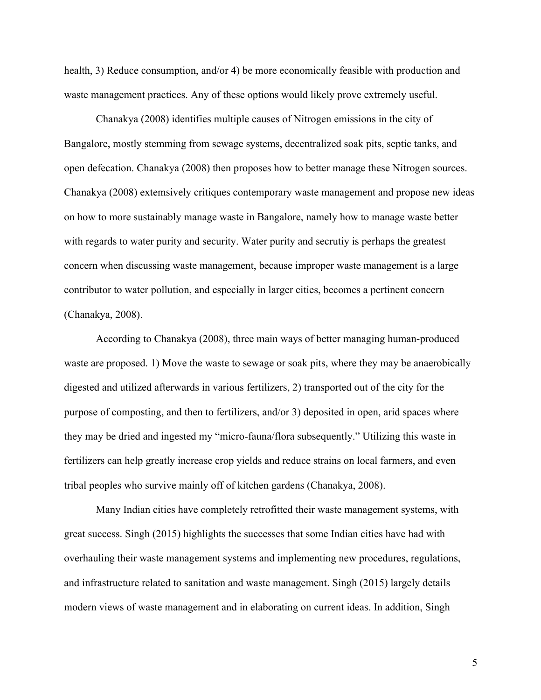health, 3) Reduce consumption, and/or 4) be more economically feasible with production and waste management practices. Any of these options would likely prove extremely useful.

Chanakya (2008) identifies multiple causes of Nitrogen emissions in the city of Bangalore, mostly stemming from sewage systems, decentralized soak pits, septic tanks, and open defecation. Chanakya (2008) then proposes how to better manage these Nitrogen sources. Chanakya (2008) extemsively critiques contemporary waste management and propose new ideas on how to more sustainably manage waste in Bangalore, namely how to manage waste better with regards to water purity and security. Water purity and secrutiy is perhaps the greatest concern when discussing waste management, because improper waste management is a large contributor to water pollution, and especially in larger cities, becomes a pertinent concern (Chanakya, 2008).

According to Chanakya (2008), three main ways of better managing human-produced waste are proposed. 1) Move the waste to sewage or soak pits, where they may be anaerobically digested and utilized afterwards in various fertilizers, 2) transported out of the city for the purpose of composting, and then to fertilizers, and/or 3) deposited in open, arid spaces where they may be dried and ingested my "micro-fauna/flora subsequently." Utilizing this waste in fertilizers can help greatly increase crop yields and reduce strains on local farmers, and even tribal peoples who survive mainly off of kitchen gardens (Chanakya, 2008).

Many Indian cities have completely retrofitted their waste management systems, with great success. Singh (2015) highlights the successes that some Indian cities have had with overhauling their waste management systems and implementing new procedures, regulations, and infrastructure related to sanitation and waste management. Singh (2015) largely details modern views of waste management and in elaborating on current ideas. In addition, Singh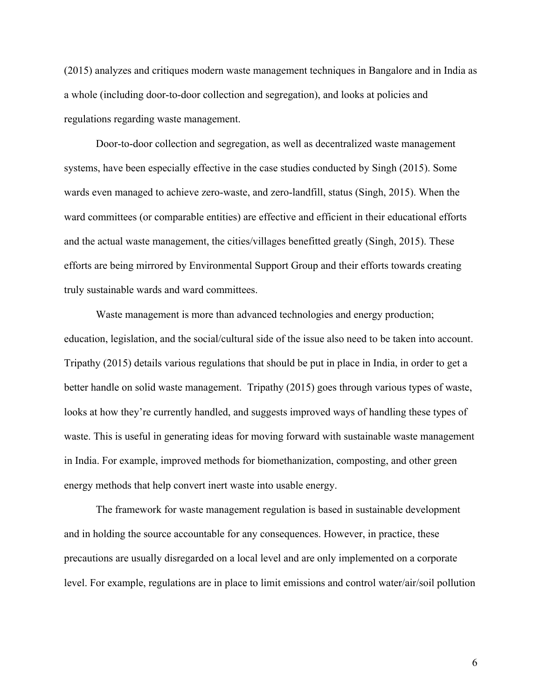(2015) analyzes and critiques modern waste management techniques in Bangalore and in India as a whole (including door-to-door collection and segregation), and looks at policies and regulations regarding waste management.

Door-to-door collection and segregation, as well as decentralized waste management systems, have been especially effective in the case studies conducted by Singh (2015). Some wards even managed to achieve zero-waste, and zero-landfill, status (Singh, 2015). When the ward committees (or comparable entities) are effective and efficient in their educational efforts and the actual waste management, the cities/villages benefitted greatly (Singh, 2015). These efforts are being mirrored by Environmental Support Group and their efforts towards creating truly sustainable wards and ward committees.

Waste management is more than advanced technologies and energy production; education, legislation, and the social/cultural side of the issue also need to be taken into account. Tripathy (2015) details various regulations that should be put in place in India, in order to get a better handle on solid waste management. Tripathy (2015) goes through various types of waste, looks at how they're currently handled, and suggests improved ways of handling these types of waste. This is useful in generating ideas for moving forward with sustainable waste management in India. For example, improved methods for biomethanization, composting, and other green energy methods that help convert inert waste into usable energy.

The framework for waste management regulation is based in sustainable development and in holding the source accountable for any consequences. However, in practice, these precautions are usually disregarded on a local level and are only implemented on a corporate level. For example, regulations are in place to limit emissions and control water/air/soil pollution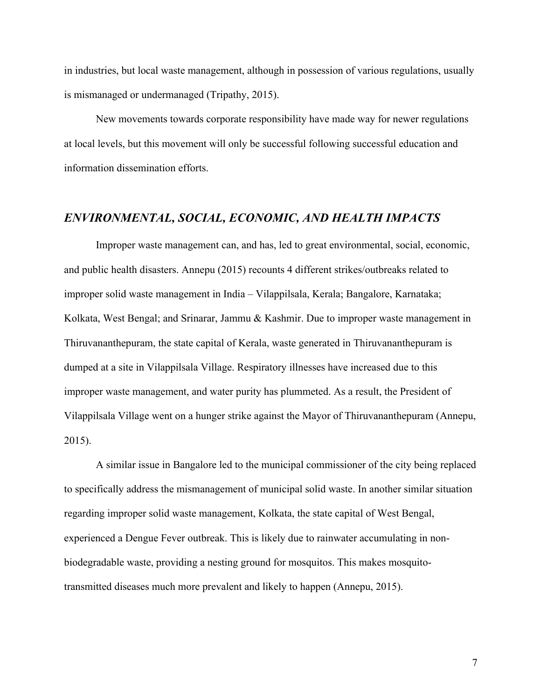in industries, but local waste management, although in possession of various regulations, usually is mismanaged or undermanaged (Tripathy, 2015).

New movements towards corporate responsibility have made way for newer regulations at local levels, but this movement will only be successful following successful education and information dissemination efforts.

## *ENVIRONMENTAL, SOCIAL, ECONOMIC, AND HEALTH IMPACTS*

Improper waste management can, and has, led to great environmental, social, economic, and public health disasters. Annepu (2015) recounts 4 different strikes/outbreaks related to improper solid waste management in India – Vilappilsala, Kerala; Bangalore, Karnataka; Kolkata, West Bengal; and Srinarar, Jammu & Kashmir. Due to improper waste management in Thiruvananthepuram, the state capital of Kerala, waste generated in Thiruvananthepuram is dumped at a site in Vilappilsala Village. Respiratory illnesses have increased due to this improper waste management, and water purity has plummeted. As a result, the President of Vilappilsala Village went on a hunger strike against the Mayor of Thiruvananthepuram (Annepu, 2015).

A similar issue in Bangalore led to the municipal commissioner of the city being replaced to specifically address the mismanagement of municipal solid waste. In another similar situation regarding improper solid waste management, Kolkata, the state capital of West Bengal, experienced a Dengue Fever outbreak. This is likely due to rainwater accumulating in nonbiodegradable waste, providing a nesting ground for mosquitos. This makes mosquitotransmitted diseases much more prevalent and likely to happen (Annepu, 2015).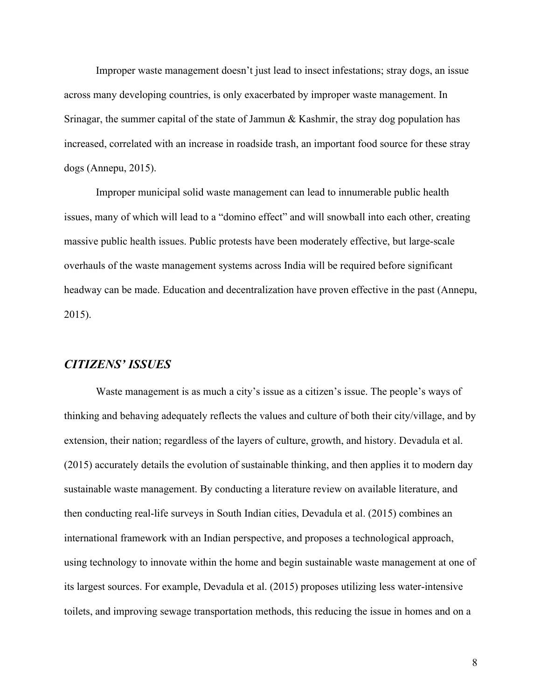Improper waste management doesn't just lead to insect infestations; stray dogs, an issue across many developing countries, is only exacerbated by improper waste management. In Srinagar, the summer capital of the state of Jammun & Kashmir, the stray dog population has increased, correlated with an increase in roadside trash, an important food source for these stray dogs (Annepu, 2015).

Improper municipal solid waste management can lead to innumerable public health issues, many of which will lead to a "domino effect" and will snowball into each other, creating massive public health issues. Public protests have been moderately effective, but large-scale overhauls of the waste management systems across India will be required before significant headway can be made. Education and decentralization have proven effective in the past (Annepu, 2015).

## *CITIZENS' ISSUES*

Waste management is as much a city's issue as a citizen's issue. The people's ways of thinking and behaving adequately reflects the values and culture of both their city/village, and by extension, their nation; regardless of the layers of culture, growth, and history. Devadula et al. (2015) accurately details the evolution of sustainable thinking, and then applies it to modern day sustainable waste management. By conducting a literature review on available literature, and then conducting real-life surveys in South Indian cities, Devadula et al. (2015) combines an international framework with an Indian perspective, and proposes a technological approach, using technology to innovate within the home and begin sustainable waste management at one of its largest sources. For example, Devadula et al. (2015) proposes utilizing less water-intensive toilets, and improving sewage transportation methods, this reducing the issue in homes and on a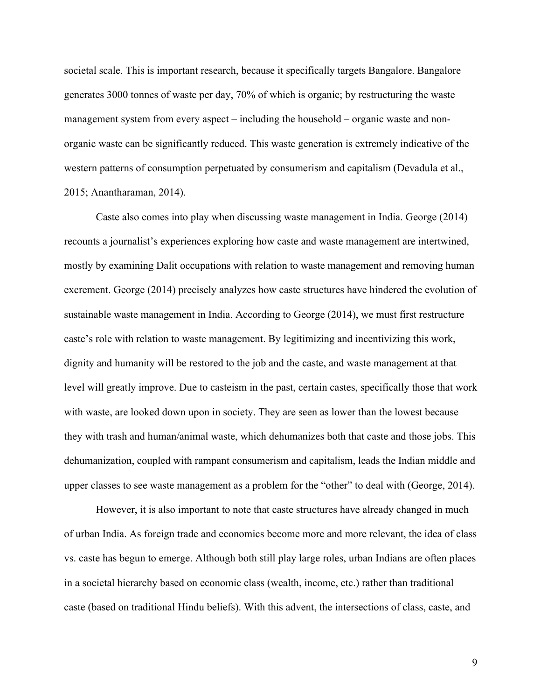societal scale. This is important research, because it specifically targets Bangalore. Bangalore generates 3000 tonnes of waste per day, 70% of which is organic; by restructuring the waste management system from every aspect – including the household – organic waste and nonorganic waste can be significantly reduced. This waste generation is extremely indicative of the western patterns of consumption perpetuated by consumerism and capitalism (Devadula et al., 2015; Anantharaman, 2014).

Caste also comes into play when discussing waste management in India. George (2014) recounts a journalist's experiences exploring how caste and waste management are intertwined, mostly by examining Dalit occupations with relation to waste management and removing human excrement. George (2014) precisely analyzes how caste structures have hindered the evolution of sustainable waste management in India. According to George (2014), we must first restructure caste's role with relation to waste management. By legitimizing and incentivizing this work, dignity and humanity will be restored to the job and the caste, and waste management at that level will greatly improve. Due to casteism in the past, certain castes, specifically those that work with waste, are looked down upon in society. They are seen as lower than the lowest because they with trash and human/animal waste, which dehumanizes both that caste and those jobs. This dehumanization, coupled with rampant consumerism and capitalism, leads the Indian middle and upper classes to see waste management as a problem for the "other" to deal with (George, 2014).

However, it is also important to note that caste structures have already changed in much of urban India. As foreign trade and economics become more and more relevant, the idea of class vs. caste has begun to emerge. Although both still play large roles, urban Indians are often places in a societal hierarchy based on economic class (wealth, income, etc.) rather than traditional caste (based on traditional Hindu beliefs). With this advent, the intersections of class, caste, and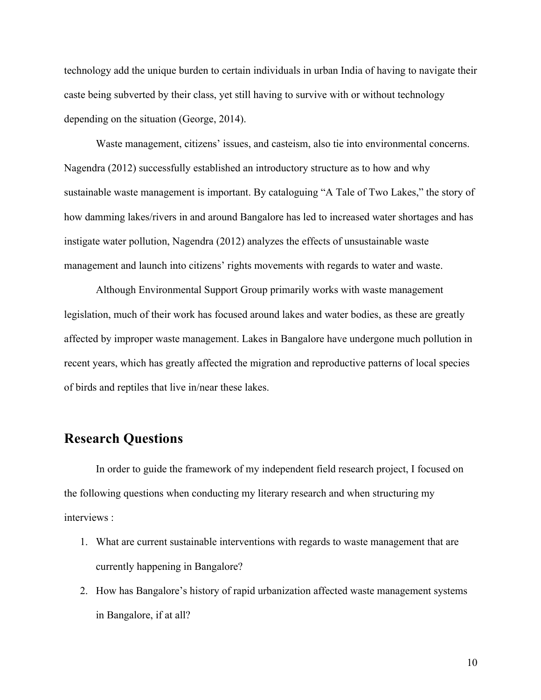technology add the unique burden to certain individuals in urban India of having to navigate their caste being subverted by their class, yet still having to survive with or without technology depending on the situation (George, 2014).

Waste management, citizens' issues, and casteism, also tie into environmental concerns. Nagendra (2012) successfully established an introductory structure as to how and why sustainable waste management is important. By cataloguing "A Tale of Two Lakes," the story of how damming lakes/rivers in and around Bangalore has led to increased water shortages and has instigate water pollution, Nagendra (2012) analyzes the effects of unsustainable waste management and launch into citizens' rights movements with regards to water and waste.

Although Environmental Support Group primarily works with waste management legislation, much of their work has focused around lakes and water bodies, as these are greatly affected by improper waste management. Lakes in Bangalore have undergone much pollution in recent years, which has greatly affected the migration and reproductive patterns of local species of birds and reptiles that live in/near these lakes.

# **Research Questions**

In order to guide the framework of my independent field research project, I focused on the following questions when conducting my literary research and when structuring my interviews :

- 1. What are current sustainable interventions with regards to waste management that are currently happening in Bangalore?
- 2. How has Bangalore's history of rapid urbanization affected waste management systems in Bangalore, if at all?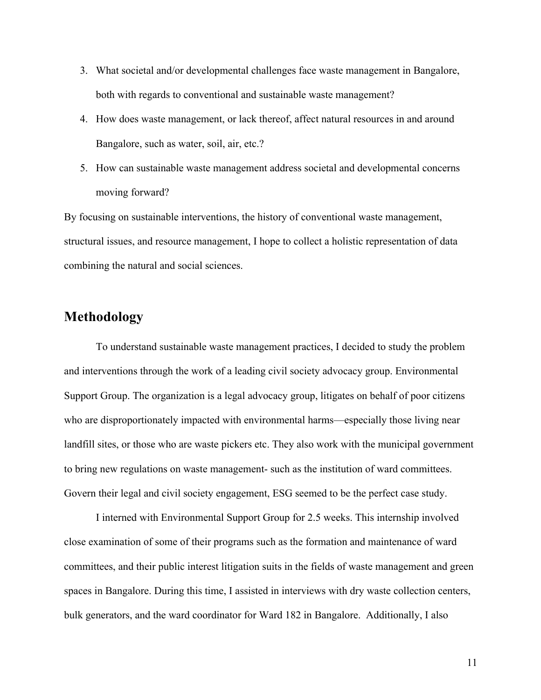- 3. What societal and/or developmental challenges face waste management in Bangalore, both with regards to conventional and sustainable waste management?
- 4. How does waste management, or lack thereof, affect natural resources in and around Bangalore, such as water, soil, air, etc.?
- 5. How can sustainable waste management address societal and developmental concerns moving forward?

By focusing on sustainable interventions, the history of conventional waste management, structural issues, and resource management, I hope to collect a holistic representation of data combining the natural and social sciences.

# **Methodology**

To understand sustainable waste management practices, I decided to study the problem and interventions through the work of a leading civil society advocacy group. Environmental Support Group. The organization is a legal advocacy group, litigates on behalf of poor citizens who are disproportionately impacted with environmental harms—especially those living near landfill sites, or those who are waste pickers etc. They also work with the municipal government to bring new regulations on waste management- such as the institution of ward committees. Govern their legal and civil society engagement, ESG seemed to be the perfect case study.

I interned with Environmental Support Group for 2.5 weeks. This internship involved close examination of some of their programs such as the formation and maintenance of ward committees, and their public interest litigation suits in the fields of waste management and green spaces in Bangalore. During this time, I assisted in interviews with dry waste collection centers, bulk generators, and the ward coordinator for Ward 182 in Bangalore. Additionally, I also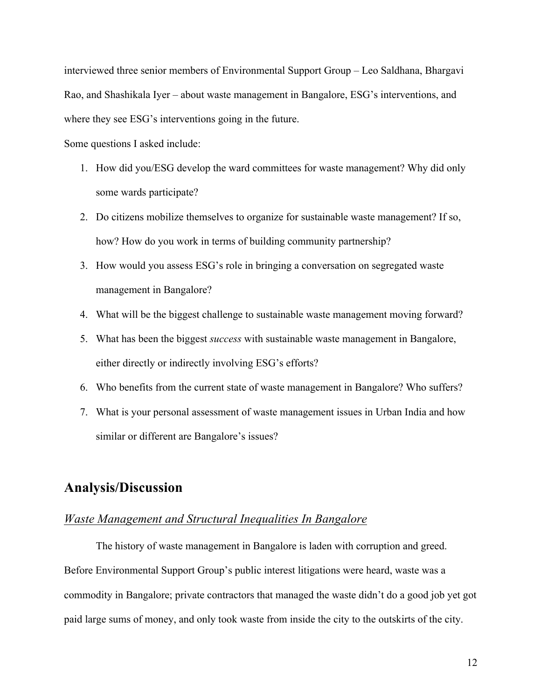interviewed three senior members of Environmental Support Group – Leo Saldhana, Bhargavi Rao, and Shashikala Iyer – about waste management in Bangalore, ESG's interventions, and where they see ESG's interventions going in the future.

Some questions I asked include:

- 1. How did you/ESG develop the ward committees for waste management? Why did only some wards participate?
- 2. Do citizens mobilize themselves to organize for sustainable waste management? If so, how? How do you work in terms of building community partnership?
- 3. How would you assess ESG's role in bringing a conversation on segregated waste management in Bangalore?
- 4. What will be the biggest challenge to sustainable waste management moving forward?
- 5. What has been the biggest *success* with sustainable waste management in Bangalore, either directly or indirectly involving ESG's efforts?
- 6. Who benefits from the current state of waste management in Bangalore? Who suffers?
- 7. What is your personal assessment of waste management issues in Urban India and how similar or different are Bangalore's issues?

## **Analysis/Discussion**

#### *Waste Management and Structural Inequalities In Bangalore*

The history of waste management in Bangalore is laden with corruption and greed. Before Environmental Support Group's public interest litigations were heard, waste was a commodity in Bangalore; private contractors that managed the waste didn't do a good job yet got paid large sums of money, and only took waste from inside the city to the outskirts of the city.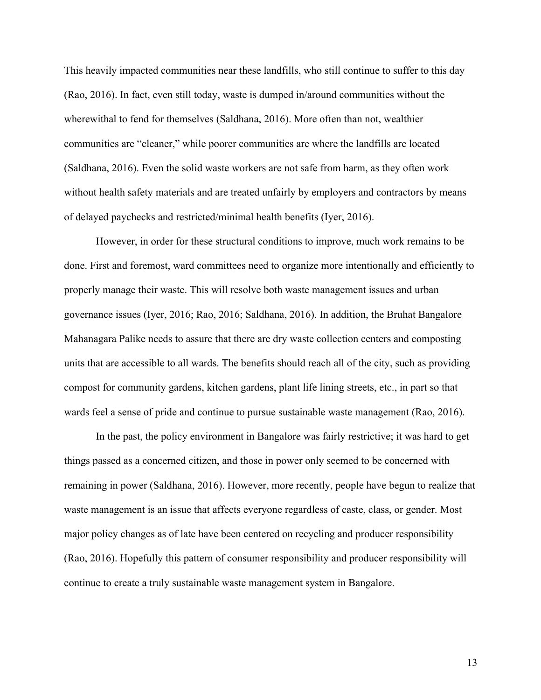This heavily impacted communities near these landfills, who still continue to suffer to this day (Rao, 2016). In fact, even still today, waste is dumped in/around communities without the wherewithal to fend for themselves (Saldhana, 2016). More often than not, wealthier communities are "cleaner," while poorer communities are where the landfills are located (Saldhana, 2016). Even the solid waste workers are not safe from harm, as they often work without health safety materials and are treated unfairly by employers and contractors by means of delayed paychecks and restricted/minimal health benefits (Iyer, 2016).

However, in order for these structural conditions to improve, much work remains to be done. First and foremost, ward committees need to organize more intentionally and efficiently to properly manage their waste. This will resolve both waste management issues and urban governance issues (Iyer, 2016; Rao, 2016; Saldhana, 2016). In addition, the Bruhat Bangalore Mahanagara Palike needs to assure that there are dry waste collection centers and composting units that are accessible to all wards. The benefits should reach all of the city, such as providing compost for community gardens, kitchen gardens, plant life lining streets, etc., in part so that wards feel a sense of pride and continue to pursue sustainable waste management (Rao, 2016).

In the past, the policy environment in Bangalore was fairly restrictive; it was hard to get things passed as a concerned citizen, and those in power only seemed to be concerned with remaining in power (Saldhana, 2016). However, more recently, people have begun to realize that waste management is an issue that affects everyone regardless of caste, class, or gender. Most major policy changes as of late have been centered on recycling and producer responsibility (Rao, 2016). Hopefully this pattern of consumer responsibility and producer responsibility will continue to create a truly sustainable waste management system in Bangalore.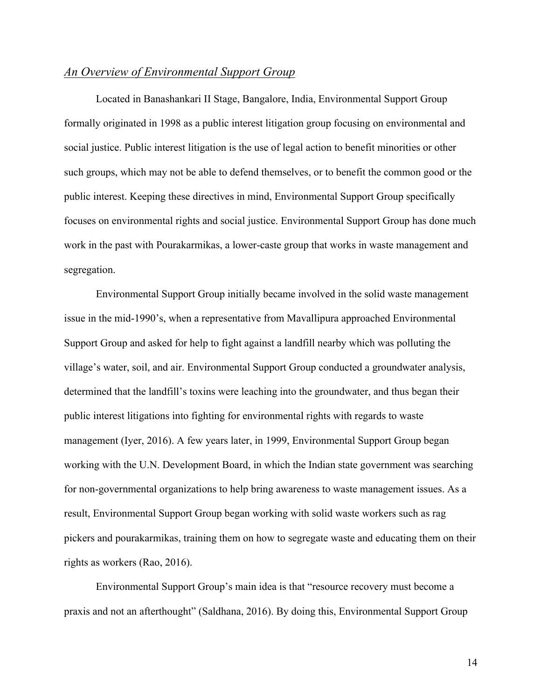## *An Overview of Environmental Support Group*

Located in Banashankari II Stage, Bangalore, India, Environmental Support Group formally originated in 1998 as a public interest litigation group focusing on environmental and social justice. Public interest litigation is the use of legal action to benefit minorities or other such groups, which may not be able to defend themselves, or to benefit the common good or the public interest. Keeping these directives in mind, Environmental Support Group specifically focuses on environmental rights and social justice. Environmental Support Group has done much work in the past with Pourakarmikas, a lower-caste group that works in waste management and segregation.

Environmental Support Group initially became involved in the solid waste management issue in the mid-1990's, when a representative from Mavallipura approached Environmental Support Group and asked for help to fight against a landfill nearby which was polluting the village's water, soil, and air. Environmental Support Group conducted a groundwater analysis, determined that the landfill's toxins were leaching into the groundwater, and thus began their public interest litigations into fighting for environmental rights with regards to waste management (Iyer, 2016). A few years later, in 1999, Environmental Support Group began working with the U.N. Development Board, in which the Indian state government was searching for non-governmental organizations to help bring awareness to waste management issues. As a result, Environmental Support Group began working with solid waste workers such as rag pickers and pourakarmikas, training them on how to segregate waste and educating them on their rights as workers (Rao, 2016).

Environmental Support Group's main idea is that "resource recovery must become a praxis and not an afterthought" (Saldhana, 2016). By doing this, Environmental Support Group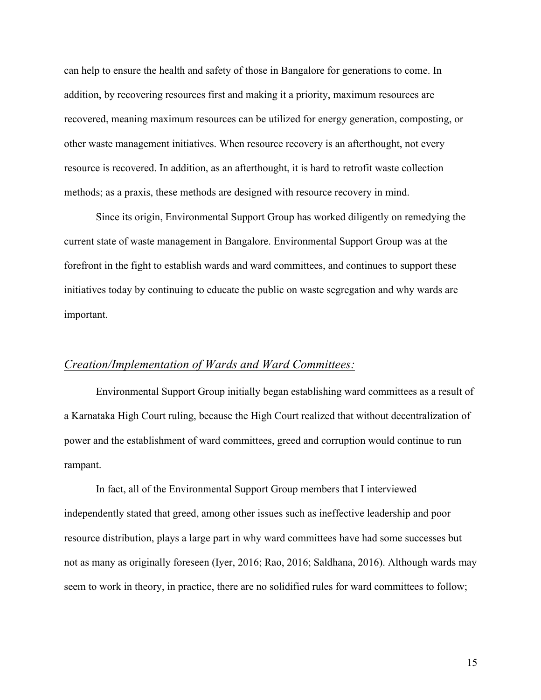can help to ensure the health and safety of those in Bangalore for generations to come. In addition, by recovering resources first and making it a priority, maximum resources are recovered, meaning maximum resources can be utilized for energy generation, composting, or other waste management initiatives. When resource recovery is an afterthought, not every resource is recovered. In addition, as an afterthought, it is hard to retrofit waste collection methods; as a praxis, these methods are designed with resource recovery in mind.

Since its origin, Environmental Support Group has worked diligently on remedying the current state of waste management in Bangalore. Environmental Support Group was at the forefront in the fight to establish wards and ward committees, and continues to support these initiatives today by continuing to educate the public on waste segregation and why wards are important.

## *Creation/Implementation of Wards and Ward Committees:*

Environmental Support Group initially began establishing ward committees as a result of a Karnataka High Court ruling, because the High Court realized that without decentralization of power and the establishment of ward committees, greed and corruption would continue to run rampant.

In fact, all of the Environmental Support Group members that I interviewed independently stated that greed, among other issues such as ineffective leadership and poor resource distribution, plays a large part in why ward committees have had some successes but not as many as originally foreseen (Iyer, 2016; Rao, 2016; Saldhana, 2016). Although wards may seem to work in theory, in practice, there are no solidified rules for ward committees to follow;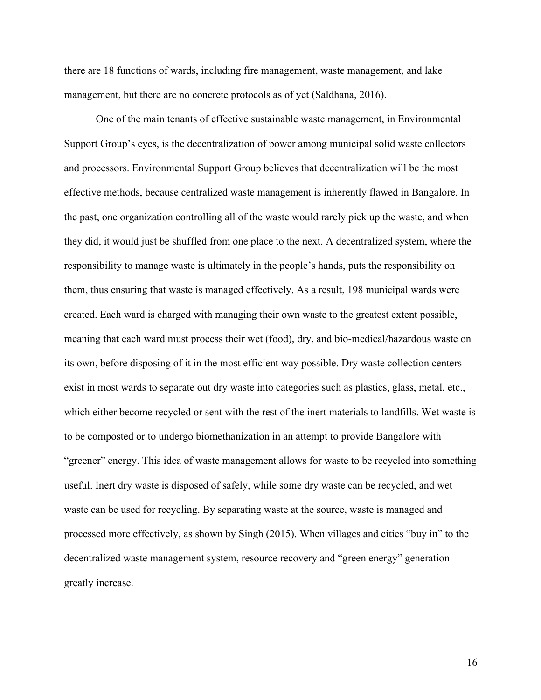there are 18 functions of wards, including fire management, waste management, and lake management, but there are no concrete protocols as of yet (Saldhana, 2016).

One of the main tenants of effective sustainable waste management, in Environmental Support Group's eyes, is the decentralization of power among municipal solid waste collectors and processors. Environmental Support Group believes that decentralization will be the most effective methods, because centralized waste management is inherently flawed in Bangalore. In the past, one organization controlling all of the waste would rarely pick up the waste, and when they did, it would just be shuffled from one place to the next. A decentralized system, where the responsibility to manage waste is ultimately in the people's hands, puts the responsibility on them, thus ensuring that waste is managed effectively. As a result, 198 municipal wards were created. Each ward is charged with managing their own waste to the greatest extent possible, meaning that each ward must process their wet (food), dry, and bio-medical/hazardous waste on its own, before disposing of it in the most efficient way possible. Dry waste collection centers exist in most wards to separate out dry waste into categories such as plastics, glass, metal, etc., which either become recycled or sent with the rest of the inert materials to landfills. Wet waste is to be composted or to undergo biomethanization in an attempt to provide Bangalore with "greener" energy. This idea of waste management allows for waste to be recycled into something useful. Inert dry waste is disposed of safely, while some dry waste can be recycled, and wet waste can be used for recycling. By separating waste at the source, waste is managed and processed more effectively, as shown by Singh (2015). When villages and cities "buy in" to the decentralized waste management system, resource recovery and "green energy" generation greatly increase.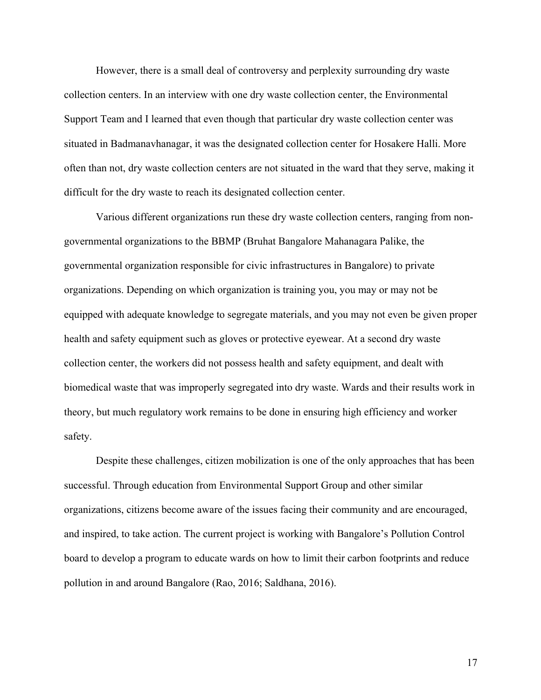However, there is a small deal of controversy and perplexity surrounding dry waste collection centers. In an interview with one dry waste collection center, the Environmental Support Team and I learned that even though that particular dry waste collection center was situated in Badmanavhanagar, it was the designated collection center for Hosakere Halli. More often than not, dry waste collection centers are not situated in the ward that they serve, making it difficult for the dry waste to reach its designated collection center.

Various different organizations run these dry waste collection centers, ranging from nongovernmental organizations to the BBMP (Bruhat Bangalore Mahanagara Palike, the governmental organization responsible for civic infrastructures in Bangalore) to private organizations. Depending on which organization is training you, you may or may not be equipped with adequate knowledge to segregate materials, and you may not even be given proper health and safety equipment such as gloves or protective eyewear. At a second dry waste collection center, the workers did not possess health and safety equipment, and dealt with biomedical waste that was improperly segregated into dry waste. Wards and their results work in theory, but much regulatory work remains to be done in ensuring high efficiency and worker safety.

Despite these challenges, citizen mobilization is one of the only approaches that has been successful. Through education from Environmental Support Group and other similar organizations, citizens become aware of the issues facing their community and are encouraged, and inspired, to take action. The current project is working with Bangalore's Pollution Control board to develop a program to educate wards on how to limit their carbon footprints and reduce pollution in and around Bangalore (Rao, 2016; Saldhana, 2016).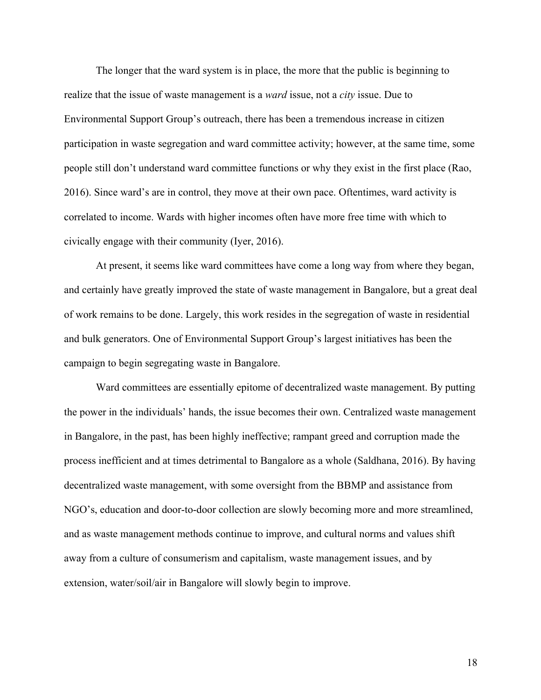The longer that the ward system is in place, the more that the public is beginning to realize that the issue of waste management is a *ward* issue, not a *city* issue. Due to Environmental Support Group's outreach, there has been a tremendous increase in citizen participation in waste segregation and ward committee activity; however, at the same time, some people still don't understand ward committee functions or why they exist in the first place (Rao, 2016). Since ward's are in control, they move at their own pace. Oftentimes, ward activity is correlated to income. Wards with higher incomes often have more free time with which to civically engage with their community (Iyer, 2016).

At present, it seems like ward committees have come a long way from where they began, and certainly have greatly improved the state of waste management in Bangalore, but a great deal of work remains to be done. Largely, this work resides in the segregation of waste in residential and bulk generators. One of Environmental Support Group's largest initiatives has been the campaign to begin segregating waste in Bangalore.

Ward committees are essentially epitome of decentralized waste management. By putting the power in the individuals' hands, the issue becomes their own. Centralized waste management in Bangalore, in the past, has been highly ineffective; rampant greed and corruption made the process inefficient and at times detrimental to Bangalore as a whole (Saldhana, 2016). By having decentralized waste management, with some oversight from the BBMP and assistance from NGO's, education and door-to-door collection are slowly becoming more and more streamlined, and as waste management methods continue to improve, and cultural norms and values shift away from a culture of consumerism and capitalism, waste management issues, and by extension, water/soil/air in Bangalore will slowly begin to improve.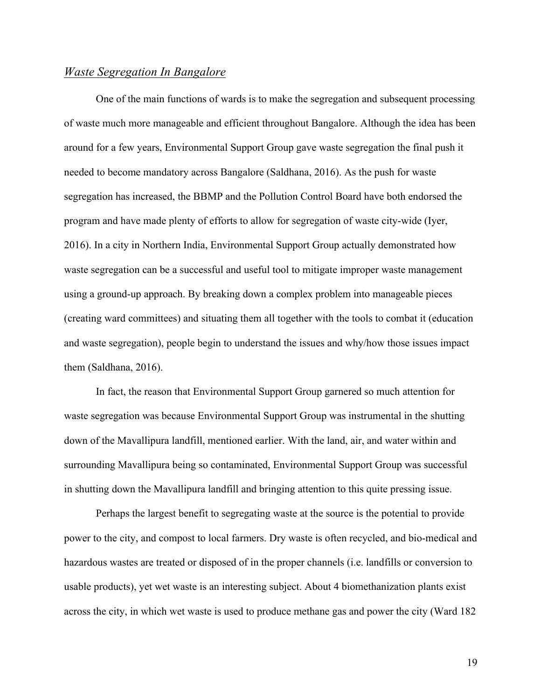## *Waste Segregation In Bangalore*

One of the main functions of wards is to make the segregation and subsequent processing of waste much more manageable and efficient throughout Bangalore. Although the idea has been around for a few years, Environmental Support Group gave waste segregation the final push it needed to become mandatory across Bangalore (Saldhana, 2016). As the push for waste segregation has increased, the BBMP and the Pollution Control Board have both endorsed the program and have made plenty of efforts to allow for segregation of waste city-wide (Iyer, 2016). In a city in Northern India, Environmental Support Group actually demonstrated how waste segregation can be a successful and useful tool to mitigate improper waste management using a ground-up approach. By breaking down a complex problem into manageable pieces (creating ward committees) and situating them all together with the tools to combat it (education and waste segregation), people begin to understand the issues and why/how those issues impact them (Saldhana, 2016).

In fact, the reason that Environmental Support Group garnered so much attention for waste segregation was because Environmental Support Group was instrumental in the shutting down of the Mavallipura landfill, mentioned earlier. With the land, air, and water within and surrounding Mavallipura being so contaminated, Environmental Support Group was successful in shutting down the Mavallipura landfill and bringing attention to this quite pressing issue.

Perhaps the largest benefit to segregating waste at the source is the potential to provide power to the city, and compost to local farmers. Dry waste is often recycled, and bio-medical and hazardous wastes are treated or disposed of in the proper channels (i.e. landfills or conversion to usable products), yet wet waste is an interesting subject. About 4 biomethanization plants exist across the city, in which wet waste is used to produce methane gas and power the city (Ward 182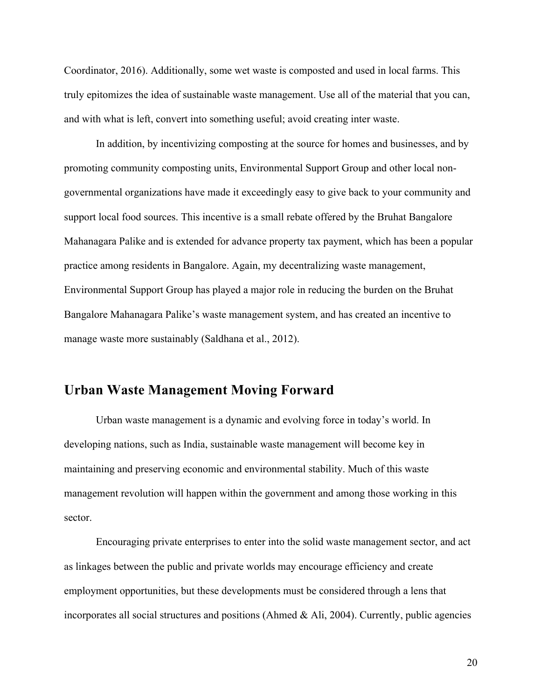Coordinator, 2016). Additionally, some wet waste is composted and used in local farms. This truly epitomizes the idea of sustainable waste management. Use all of the material that you can, and with what is left, convert into something useful; avoid creating inter waste.

In addition, by incentivizing composting at the source for homes and businesses, and by promoting community composting units, Environmental Support Group and other local nongovernmental organizations have made it exceedingly easy to give back to your community and support local food sources. This incentive is a small rebate offered by the Bruhat Bangalore Mahanagara Palike and is extended for advance property tax payment, which has been a popular practice among residents in Bangalore. Again, my decentralizing waste management, Environmental Support Group has played a major role in reducing the burden on the Bruhat Bangalore Mahanagara Palike's waste management system, and has created an incentive to manage waste more sustainably (Saldhana et al., 2012).

# **Urban Waste Management Moving Forward**

Urban waste management is a dynamic and evolving force in today's world. In developing nations, such as India, sustainable waste management will become key in maintaining and preserving economic and environmental stability. Much of this waste management revolution will happen within the government and among those working in this sector.

Encouraging private enterprises to enter into the solid waste management sector, and act as linkages between the public and private worlds may encourage efficiency and create employment opportunities, but these developments must be considered through a lens that incorporates all social structures and positions (Ahmed & Ali, 2004). Currently, public agencies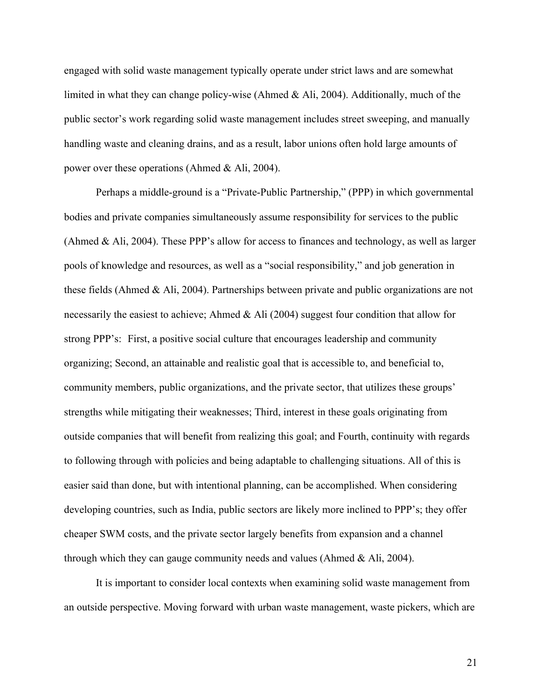engaged with solid waste management typically operate under strict laws and are somewhat limited in what they can change policy-wise (Ahmed & Ali, 2004). Additionally, much of the public sector's work regarding solid waste management includes street sweeping, and manually handling waste and cleaning drains, and as a result, labor unions often hold large amounts of power over these operations (Ahmed & Ali, 2004).

Perhaps a middle-ground is a "Private-Public Partnership," (PPP) in which governmental bodies and private companies simultaneously assume responsibility for services to the public (Ahmed & Ali, 2004). These PPP's allow for access to finances and technology, as well as larger pools of knowledge and resources, as well as a "social responsibility," and job generation in these fields (Ahmed & Ali, 2004). Partnerships between private and public organizations are not necessarily the easiest to achieve; Ahmed & Ali (2004) suggest four condition that allow for strong PPP's: First, a positive social culture that encourages leadership and community organizing; Second, an attainable and realistic goal that is accessible to, and beneficial to, community members, public organizations, and the private sector, that utilizes these groups' strengths while mitigating their weaknesses; Third, interest in these goals originating from outside companies that will benefit from realizing this goal; and Fourth, continuity with regards to following through with policies and being adaptable to challenging situations. All of this is easier said than done, but with intentional planning, can be accomplished. When considering developing countries, such as India, public sectors are likely more inclined to PPP's; they offer cheaper SWM costs, and the private sector largely benefits from expansion and a channel through which they can gauge community needs and values (Ahmed & Ali, 2004).

It is important to consider local contexts when examining solid waste management from an outside perspective. Moving forward with urban waste management, waste pickers, which are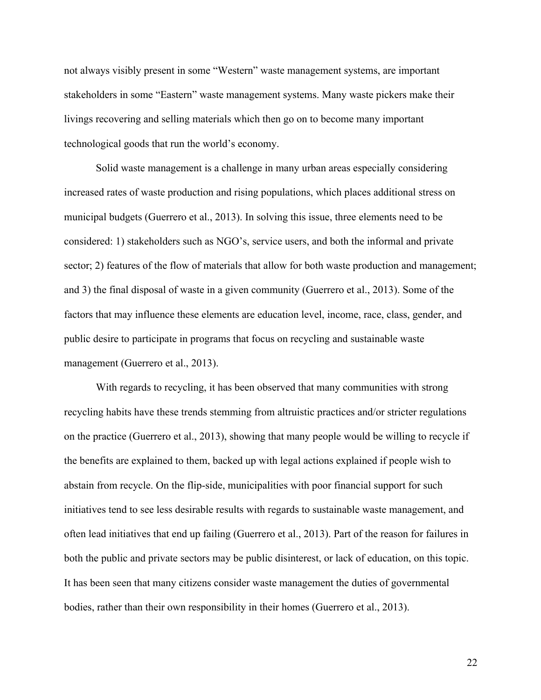not always visibly present in some "Western" waste management systems, are important stakeholders in some "Eastern" waste management systems. Many waste pickers make their livings recovering and selling materials which then go on to become many important technological goods that run the world's economy.

Solid waste management is a challenge in many urban areas especially considering increased rates of waste production and rising populations, which places additional stress on municipal budgets (Guerrero et al., 2013). In solving this issue, three elements need to be considered: 1) stakeholders such as NGO's, service users, and both the informal and private sector; 2) features of the flow of materials that allow for both waste production and management; and 3) the final disposal of waste in a given community (Guerrero et al., 2013). Some of the factors that may influence these elements are education level, income, race, class, gender, and public desire to participate in programs that focus on recycling and sustainable waste management (Guerrero et al., 2013).

With regards to recycling, it has been observed that many communities with strong recycling habits have these trends stemming from altruistic practices and/or stricter regulations on the practice (Guerrero et al., 2013), showing that many people would be willing to recycle if the benefits are explained to them, backed up with legal actions explained if people wish to abstain from recycle. On the flip-side, municipalities with poor financial support for such initiatives tend to see less desirable results with regards to sustainable waste management, and often lead initiatives that end up failing (Guerrero et al., 2013). Part of the reason for failures in both the public and private sectors may be public disinterest, or lack of education, on this topic. It has been seen that many citizens consider waste management the duties of governmental bodies, rather than their own responsibility in their homes (Guerrero et al., 2013).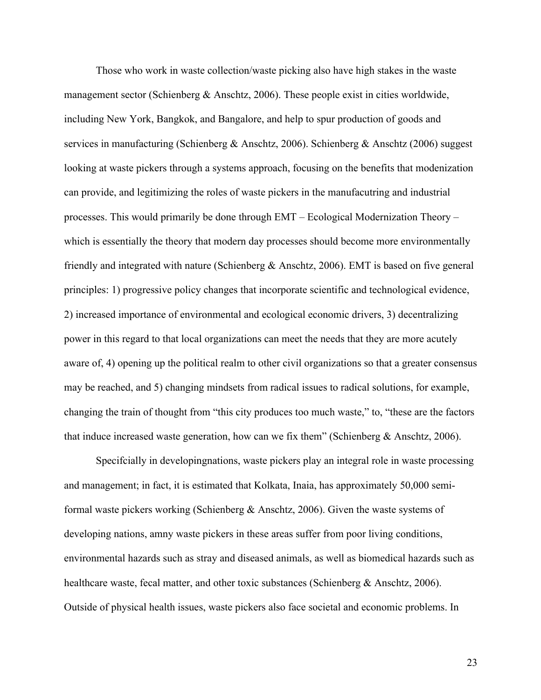Those who work in waste collection/waste picking also have high stakes in the waste management sector (Schienberg & Anschtz, 2006). These people exist in cities worldwide, including New York, Bangkok, and Bangalore, and help to spur production of goods and services in manufacturing (Schienberg & Anschtz, 2006). Schienberg & Anschtz (2006) suggest looking at waste pickers through a systems approach, focusing on the benefits that modenization can provide, and legitimizing the roles of waste pickers in the manufacutring and industrial processes. This would primarily be done through EMT – Ecological Modernization Theory – which is essentially the theory that modern day processes should become more environmentally friendly and integrated with nature (Schienberg & Anschtz, 2006). EMT is based on five general principles: 1) progressive policy changes that incorporate scientific and technological evidence, 2) increased importance of environmental and ecological economic drivers, 3) decentralizing power in this regard to that local organizations can meet the needs that they are more acutely aware of, 4) opening up the political realm to other civil organizations so that a greater consensus may be reached, and 5) changing mindsets from radical issues to radical solutions, for example, changing the train of thought from "this city produces too much waste," to, "these are the factors that induce increased waste generation, how can we fix them" (Schienberg & Anschtz, 2006).

Specifcially in developingnations, waste pickers play an integral role in waste processing and management; in fact, it is estimated that Kolkata, Inaia, has approximately 50,000 semiformal waste pickers working (Schienberg & Anschtz, 2006). Given the waste systems of developing nations, amny waste pickers in these areas suffer from poor living conditions, environmental hazards such as stray and diseased animals, as well as biomedical hazards such as healthcare waste, fecal matter, and other toxic substances (Schienberg & Anschtz, 2006). Outside of physical health issues, waste pickers also face societal and economic problems. In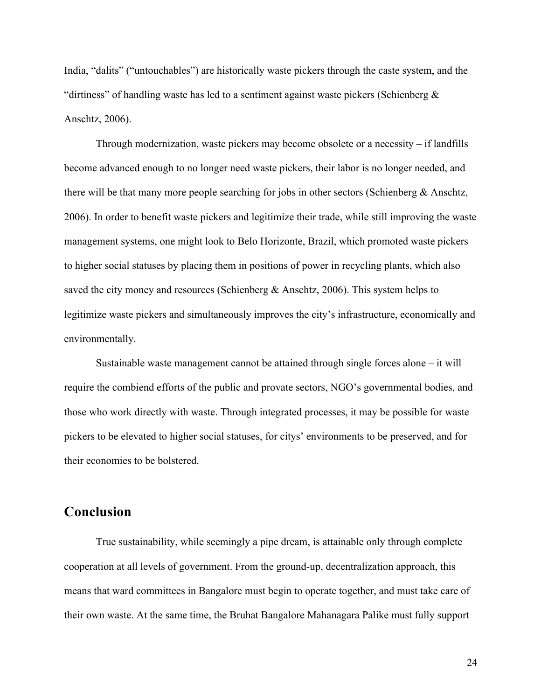India, "dalits" ("untouchables") are historically waste pickers through the caste system, and the "dirtiness" of handling waste has led to a sentiment against waste pickers (Schienberg  $\&$ Anschtz, 2006).

Through modernization, waste pickers may become obsolete or a necessity – if landfills become advanced enough to no longer need waste pickers, their labor is no longer needed, and there will be that many more people searching for jobs in other sectors (Schienberg & Anschtz, 2006). In order to benefit waste pickers and legitimize their trade, while still improving the waste management systems, one might look to Belo Horizonte, Brazil, which promoted waste pickers to higher social statuses by placing them in positions of power in recycling plants, which also saved the city money and resources (Schienberg & Anschtz, 2006). This system helps to legitimize waste pickers and simultaneously improves the city's infrastructure, economically and environmentally.

Sustainable waste management cannot be attained through single forces alone – it will require the combiend efforts of the public and provate sectors, NGO's governmental bodies, and those who work directly with waste. Through integrated processes, it may be possible for waste pickers to be elevated to higher social statuses, for citys' environments to be preserved, and for their economies to be bolstered.

# **Conclusion**

True sustainability, while seemingly a pipe dream, is attainable only through complete cooperation at all levels of government. From the ground-up, decentralization approach, this means that ward committees in Bangalore must begin to operate together, and must take care of their own waste. At the same time, the Bruhat Bangalore Mahanagara Palike must fully support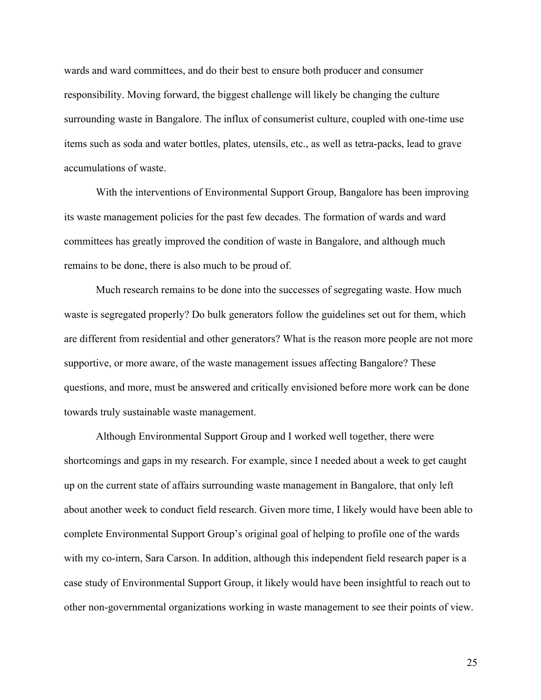wards and ward committees, and do their best to ensure both producer and consumer responsibility. Moving forward, the biggest challenge will likely be changing the culture surrounding waste in Bangalore. The influx of consumerist culture, coupled with one-time use items such as soda and water bottles, plates, utensils, etc., as well as tetra-packs, lead to grave accumulations of waste.

With the interventions of Environmental Support Group, Bangalore has been improving its waste management policies for the past few decades. The formation of wards and ward committees has greatly improved the condition of waste in Bangalore, and although much remains to be done, there is also much to be proud of.

Much research remains to be done into the successes of segregating waste. How much waste is segregated properly? Do bulk generators follow the guidelines set out for them, which are different from residential and other generators? What is the reason more people are not more supportive, or more aware, of the waste management issues affecting Bangalore? These questions, and more, must be answered and critically envisioned before more work can be done towards truly sustainable waste management.

Although Environmental Support Group and I worked well together, there were shortcomings and gaps in my research. For example, since I needed about a week to get caught up on the current state of affairs surrounding waste management in Bangalore, that only left about another week to conduct field research. Given more time, I likely would have been able to complete Environmental Support Group's original goal of helping to profile one of the wards with my co-intern, Sara Carson. In addition, although this independent field research paper is a case study of Environmental Support Group, it likely would have been insightful to reach out to other non-governmental organizations working in waste management to see their points of view.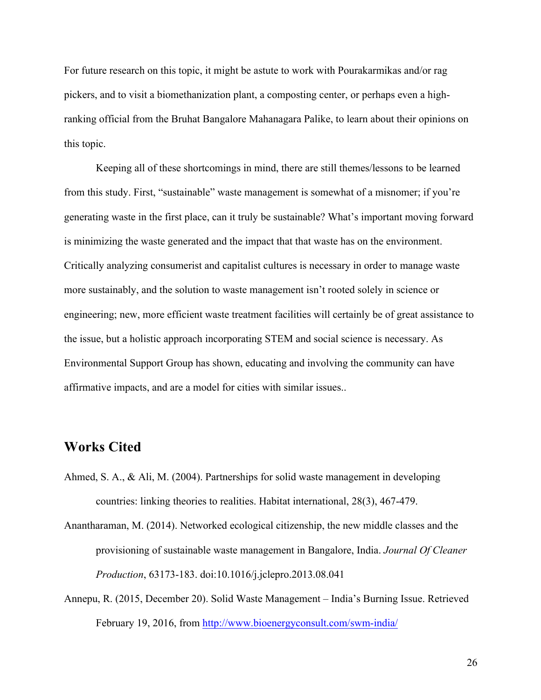For future research on this topic, it might be astute to work with Pourakarmikas and/or rag pickers, and to visit a biomethanization plant, a composting center, or perhaps even a highranking official from the Bruhat Bangalore Mahanagara Palike, to learn about their opinions on this topic.

Keeping all of these shortcomings in mind, there are still themes/lessons to be learned from this study. First, "sustainable" waste management is somewhat of a misnomer; if you're generating waste in the first place, can it truly be sustainable? What's important moving forward is minimizing the waste generated and the impact that that waste has on the environment. Critically analyzing consumerist and capitalist cultures is necessary in order to manage waste more sustainably, and the solution to waste management isn't rooted solely in science or engineering; new, more efficient waste treatment facilities will certainly be of great assistance to the issue, but a holistic approach incorporating STEM and social science is necessary. As Environmental Support Group has shown, educating and involving the community can have affirmative impacts, and are a model for cities with similar issues..

## **Works Cited**

- Ahmed, S. A., & Ali, M. (2004). Partnerships for solid waste management in developing countries: linking theories to realities. Habitat international, 28(3), 467-479.
- Anantharaman, M. (2014). Networked ecological citizenship, the new middle classes and the provisioning of sustainable waste management in Bangalore, India. *Journal Of Cleaner Production*, 63173-183. doi:10.1016/j.jclepro.2013.08.041
- Annepu, R. (2015, December 20). Solid Waste Management India's Burning Issue. Retrieved February 19, 2016, from http://www.bioenergyconsult.com/swm-india/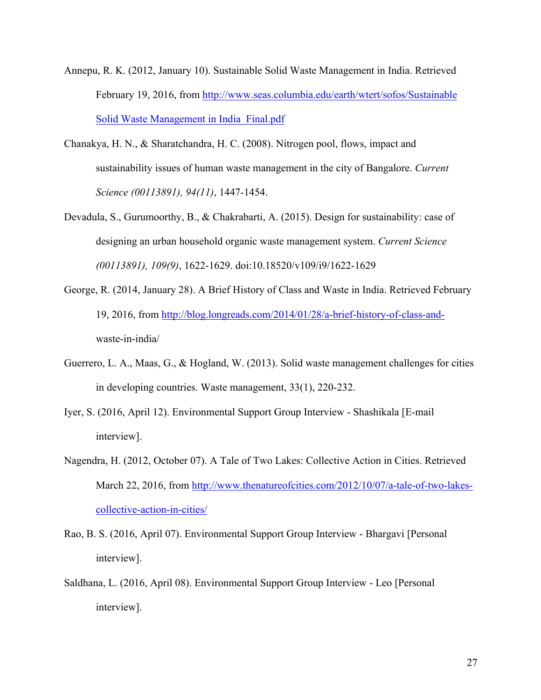- Annepu, R. K. (2012, January 10). Sustainable Solid Waste Management in India. Retrieved February 19, 2016, from http://www.seas.columbia.edu/earth/wtert/sofos/Sustainable Solid Waste Management in India\_Final.pdf
- Chanakya, H. N., & Sharatchandra, H. C. (2008). Nitrogen pool, flows, impact and sustainability issues of human waste management in the city of Bangalore. *Current Science (00113891), 94(11)*, 1447-1454.
- Devadula, S., Gurumoorthy, B., & Chakrabarti, A. (2015). Design for sustainability: case of designing an urban household organic waste management system. *Current Science (00113891), 109(9)*, 1622-1629. doi:10.18520/v109/i9/1622-1629
- George, R. (2014, January 28). A Brief History of Class and Waste in India. Retrieved February 19, 2016, from http://blog.longreads.com/2014/01/28/a-brief-history-of-class-andwaste-in-india/
- Guerrero, L. A., Maas, G., & Hogland, W. (2013). Solid waste management challenges for cities in developing countries. Waste management, 33(1), 220-232.
- Iyer, S. (2016, April 12). Environmental Support Group Interview Shashikala [E-mail interview].
- Nagendra, H. (2012, October 07). A Tale of Two Lakes: Collective Action in Cities. Retrieved March 22, 2016, from http://www.thenatureofcities.com/2012/10/07/a-tale-of-two-lakescollective-action-in-cities/
- Rao, B. S. (2016, April 07). Environmental Support Group Interview Bhargavi [Personal interview].
- Saldhana, L. (2016, April 08). Environmental Support Group Interview Leo [Personal interview].